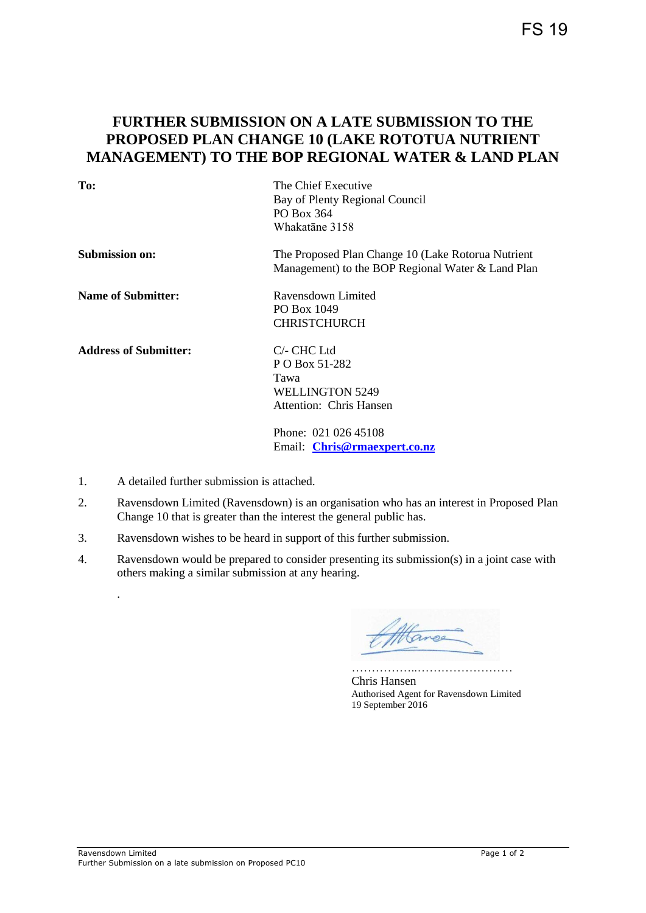## **FURTHER SUBMISSION ON A LATE SUBMISSION TO THE PROPOSED PLAN CHANGE 10 (LAKE ROTOTUA NUTRIENT MANAGEMENT) TO THE BOP REGIONAL WATER & LAND PLAN**

| To:                          | The Chief Executive<br>Bay of Plenty Regional Council |  |  |  |
|------------------------------|-------------------------------------------------------|--|--|--|
|                              | PO Box 364                                            |  |  |  |
|                              | Whakatane 3158                                        |  |  |  |
| <b>Submission on:</b>        | The Proposed Plan Change 10 (Lake Rotorua Nutrient    |  |  |  |
|                              | Management) to the BOP Regional Water & Land Plan     |  |  |  |
| <b>Name of Submitter:</b>    | Ravensdown Limited                                    |  |  |  |
|                              | PO Box 1049                                           |  |  |  |
|                              | <b>CHRISTCHURCH</b>                                   |  |  |  |
| <b>Address of Submitter:</b> | $C$ - CHC Ltd                                         |  |  |  |
|                              | P O Box 51-282                                        |  |  |  |
|                              | Tawa                                                  |  |  |  |
|                              | WELLINGTON 5249                                       |  |  |  |
|                              | Attention: Chris Hansen                               |  |  |  |
|                              | Phone: 021 026 45108                                  |  |  |  |
|                              | Email: Chris@rmaexpert.co.nz                          |  |  |  |

1. A detailed further submission is attached.

.

- 2. Ravensdown Limited (Ravensdown) is an organisation who has an interest in Proposed Plan Change 10 that is greater than the interest the general public has.
- 3. Ravensdown wishes to be heard in support of this further submission.
- 4. Ravensdown would be prepared to consider presenting its submission(s) in a joint case with others making a similar submission at any hearing.

tango

…………………………………………… Chris Hansen Authorised Agent for Ravensdown Limited 19 September 2016